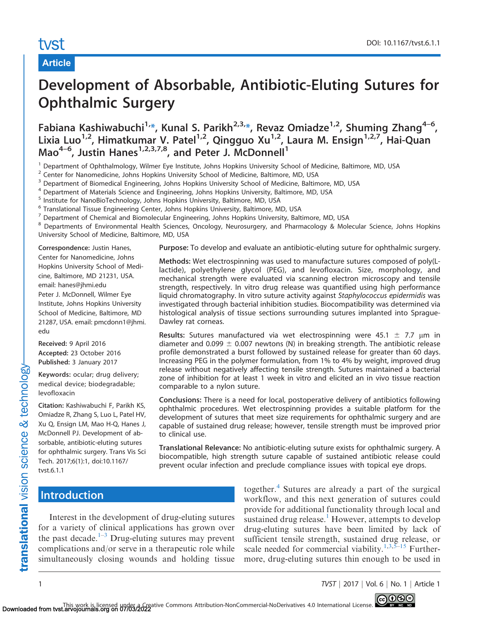# tyst

# Article

# Development of Absorbable, Antibiotic-Eluting Sutures for Ophthalmic Surgery

[Fabiana Kashiwabuchi](mailto:)<sup>1[,\\*](#page-6-0)</sup>, [Kunal S. Parikh](mailto:)<sup>2,3,\*</sup>, Revaz Omiadze<sup>1,2</sup>, Shuming Zhang<sup>4-6</sup>, Lixia Luo<sup>1,2</sup>, Himatkumar V. Patel<sup>1,2</sup>, Qingguo Xu<sup>1,2</sup>, Laura M. Ensign<sup>1,2,7</sup>, Hai-Quan Mao<sup>4–6</sup>, Justin Hanes<sup>1,2,3,7,8</sup>, and Peter J. McDonnell<sup>1</sup>

<sup>1</sup> Department of Ophthalmology, Wilmer Eye Institute, Johns Hopkins University School of Medicine, Baltimore, MD, USA

 $2$  Center for Nanomedicine, Johns Hopkins University School of Medicine, Baltimore, MD, USA

 $3$  Department of Biomedical Engineering, Johns Hopkins University School of Medicine, Baltimore, MD, USA  $4$  Department of Materials Science and Engineering Johns Hopkins University Baltimore, MD, USA

<sup>4</sup> Department of Materials Science and Engineering, Johns Hopkins University, Baltimore, MD, USA

<sup>5</sup> Institute for NanoBioTechnology, Johns Hopkins University, Baltimore, MD, USA

<sup>6</sup> Translational Tissue Engineering Center, Johns Hopkins University, Baltimore, MD, USA

 $<sup>7</sup>$  Department of Chemical and Biomolecular Engineering, Johns Hopkins University, Baltimore, MD, USA</sup>

8 Departments of Environmental Health Sciences, Oncology, Neurosurgery, and Pharmacology & Molecular Science, Johns Hopkins University School of Medicine, Baltimore, MD, USA

Correspondence: Justin Hanes, Center for Nanomedicine, Johns Hopkins University School of Medicine, Baltimore, MD 21231, USA. email: hanes@jhmi.edu Peter J. McDonnell, Wilmer Eye Institute, Johns Hopkins University School of Medicine, Baltimore, MD 21287, USA. email: pmcdonn1@jhmi. edu

Received: 9 April 2016 Accepted: 23 October 2016 Published: 3 January 2017

Keywords: ocular; drug delivery; medical device; biodegradable; levofloxacin

Citation: Kashiwabuchi F, Parikh KS, Omiadze R, Zhang S, Luo L, Patel HV, Xu Q, Ensign LM, Mao H-Q, Hanes J, McDonnell PJ. Development of absorbable, antibiotic-eluting sutures for ophthalmic surgery. Trans Vis Sci Tech. 2017;6(1):1, doi:10.1167/ tvst.6.1.1

Purpose: To develop and evaluate an antibiotic-eluting suture for ophthalmic surgery.

Methods: Wet electrospinning was used to manufacture sutures composed of poly(Llactide), polyethylene glycol (PEG), and levofloxacin. Size, morphology, and mechanical strength were evaluated via scanning electron microscopy and tensile strength, respectively. In vitro drug release was quantified using high performance liquid chromatography. In vitro suture activity against Staphylococcus epidermidis was investigated through bacterial inhibition studies. Biocompatibility was determined via histological analysis of tissue sections surrounding sutures implanted into Sprague-Dawley rat corneas.

Results: Sutures manufactured via wet electrospinning were 45.1  $\pm$  7.7  $\mu$ m in diameter and 0.099  $\pm$  0.007 newtons (N) in breaking strength. The antibiotic release profile demonstrated a burst followed by sustained release for greater than 60 days. Increasing PEG in the polymer formulation, from 1% to 4% by weight, improved drug release without negatively affecting tensile strength. Sutures maintained a bacterial zone of inhibition for at least 1 week in vitro and elicited an in vivo tissue reaction comparable to a nylon suture.

Conclusions: There is a need for local, postoperative delivery of antibiotics following ophthalmic procedures. Wet electrospinning provides a suitable platform for the development of sutures that meet size requirements for ophthalmic surgery and are capable of sustained drug release; however, tensile strength must be improved prior to clinical use.

Translational Relevance: No antibiotic-eluting suture exists for ophthalmic surgery. A biocompatible, high strength suture capable of sustained antibiotic release could prevent ocular infection and preclude compliance issues with topical eye drops.

# **Introduction**

Interest in the development of drug-eluting sutures for a variety of clinical applications has grown over the past decade. $1-3$  Drug-eluting sutures may prevent complications and/or serve in a therapeutic role while simultaneously closing wounds and holding tissue

together.<sup>[4](#page-6-0)</sup> Sutures are already a part of the surgical workflow, and this next generation of sutures could provide for additional functionality through local and sustained drug release.<sup>[1](#page-6-0)</sup> However, attempts to develop drug-eluting sutures have been limited by lack of sufficient tensile strength, sustained drug release, or scale needed for commercial viability.<sup>1,3,5–15</sup> Furthermore, drug-eluting sutures thin enough to be used in

1 TVST j 2017 j Vol. 6 j No. 1 j Article 1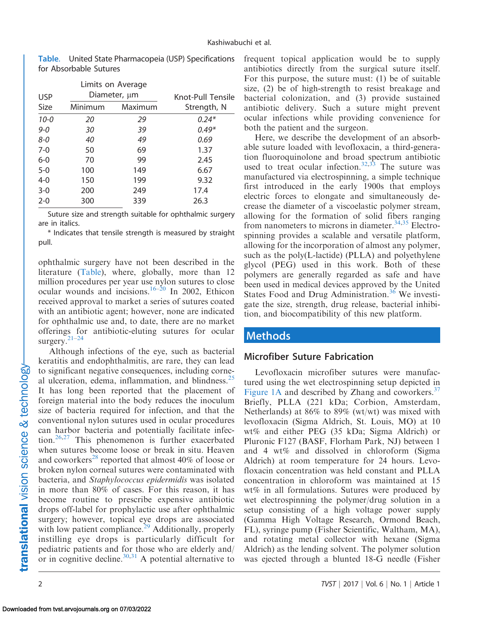| <b>USP</b> | Limits on Average<br>Diameter, µm |         | Knot-Pull Tensile |
|------------|-----------------------------------|---------|-------------------|
| Size       | Minimum                           | Maximum | Strength, N       |
| $10 - 0$   | 20                                | 29      | $0.24*$           |
| $9 - 0$    | 30                                | 39      | $0.49*$           |
| $8 - 0$    | 40                                | 49      | 0.69              |
| $7-0$      | 50                                | 69      | 1.37              |
| $6-0$      | 70                                | 99      | 2.45              |
| $5 - 0$    | 100                               | 149     | 6.67              |
| $4 - 0$    | 150                               | 199     | 9.32              |
| $3 - 0$    | 200                               | 249     | 17.4              |
| $2 - 0$    | 300                               | 339     | 26.3              |

Table. United State Pharmacopeia (USP) Specifications for Absorbable Sutures

Suture size and strength suitable for ophthalmic surgery are in italics.

\* Indicates that tensile strength is measured by straight pull.

ophthalmic surgery have not been described in the literature (Table), where, globally, more than 12 million procedures per year use nylon sutures to close ocular wounds and incisions.<sup>16–[20](#page-7-0)</sup> In 2002, Ethicon received approval to market a series of sutures coated with an antibiotic agent; however, none are indicated for ophthalmic use and, to date, there are no market offerings for antibiotic-eluting sutures for ocular surgery.[21–24](#page-7-0)

Although infections of the eye, such as bacterial keratitis and endophthalmitis, are rare, they can lead to significant negative consequences, including corneal ulceration, edema, inflammation, and blindness. $25$ It has long been reported that the placement of foreign material into the body reduces the inoculum size of bacteria required for infection, and that the conventional nylon sutures used in ocular procedures can harbor bacteria and potentially facilitate infec-tion.<sup>[26,27](#page-7-0)</sup> This phenomenon is further exacerbated when sutures become loose or break in situ. Heaven and coworkers<sup>[28](#page-7-0)</sup> reported that almost  $40\%$  of loose or broken nylon corneal sutures were contaminated with bacteria, and Staphylococcus epidermidis was isolated in more than 80% of cases. For this reason, it has become routine to prescribe expensive antibiotic drops off-label for prophylactic use after ophthalmic surgery; however, topical eye drops are associated with low patient compliance.<sup>[29](#page-7-0)</sup> Additionally, properly instilling eye drops is particularly difficult for pediatric patients and for those who are elderly and/ or in cognitive decline.<sup>30,31</sup> A potential alternative to

frequent topical application would be to supply antibiotics directly from the surgical suture itself. For this purpose, the suture must: (1) be of suitable size, (2) be of high-strength to resist breakage and bacterial colonization, and (3) provide sustained antibiotic delivery. Such a suture might prevent ocular infections while providing convenience for both the patient and the surgeon.

Here, we describe the development of an absorbable suture loaded with levofloxacin, a third-generation fluoroquinolone and broad spectrum antibiotic used to treat ocular infection.<sup>[32,33](#page-7-0)</sup> The suture was manufactured via electrospinning, a simple technique first introduced in the early 1900s that employs electric forces to elongate and simultaneously decrease the diameter of a viscoelastic polymer stream, allowing for the formation of solid fibers ranging from nanometers to microns in diameter. $34,35$  Electrospinning provides a scalable and versatile platform, allowing for the incorporation of almost any polymer, such as the poly(L-lactide) (PLLA) and polyethylene glycol (PEG) used in this work. Both of these polymers are generally regarded as safe and have been used in medical devices approved by the United States Food and Drug Administration.<sup>[36](#page-7-0)</sup> We investigate the size, strength, drug release, bacterial inhibition, and biocompatibility of this new platform.

# **Methods**

## Microfiber Suture Fabrication

Levofloxacin microfiber sutures were manufactured using the wet electrospinning setup depicted in [Figure 1A](#page-2-0) and described by Zhang and coworkers. $37$ Briefly, PLLA (221 kDa; Corbion, Amsterdam, Netherlands) at 86% to 89% (wt/wt) was mixed with levofloxacin (Sigma Aldrich, St. Louis, MO) at 10 wt% and either PEG (35 kDa; Sigma Aldrich) or Pluronic F127 (BASF, Florham Park, NJ) between 1 and 4 wt% and dissolved in chloroform (Sigma Aldrich) at room temperature for 24 hours. Levofloxacin concentration was held constant and PLLA concentration in chloroform was maintained at 15 wt% in all formulations. Sutures were produced by wet electrospinning the polymer/drug solution in a setup consisting of a high voltage power supply (Gamma High Voltage Research, Ormond Beach, FL), syringe pump (Fisher Scientific, Waltham, MA), and rotating metal collector with hexane (Sigma Aldrich) as the lending solvent. The polymer solution was ejected through a blunted 18-G needle (Fisher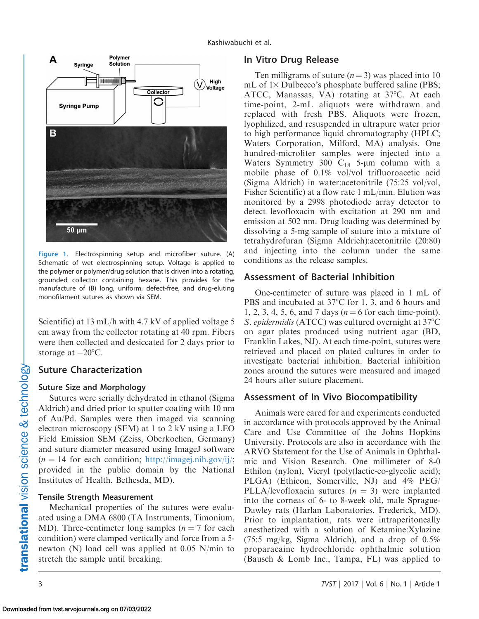<span id="page-2-0"></span>

Figure 1. Electrospinning setup and microfiber suture. (A) Schematic of wet electrospinning setup. Voltage is applied to the polymer or polymer/drug solution that is driven into a rotating, grounded collector containing hexane. This provides for the manufacture of (B) long, uniform, defect-free, and drug-eluting monofilament sutures as shown via SEM.

Scientific) at 13 mL/h with 4.7 kV of applied voltage 5 cm away from the collector rotating at 40 rpm. Fibers were then collected and desiccated for 2 days prior to storage at  $-20^{\circ}$ C.

## Suture Characterization

## Suture Size and Morphology

Sutures were serially dehydrated in ethanol (Sigma Aldrich) and dried prior to sputter coating with 10 nm of Au/Pd. Samples were then imaged via scanning electron microscopy (SEM) at 1 to 2 kV using a LEO Field Emission SEM (Zeiss, Oberkochen, Germany) and suture diameter measured using ImageJ software  $(n = 14$  for each condition; <http://imagej.nih.gov/ij/>; provided in the public domain by the National Institutes of Health, Bethesda, MD).

## Tensile Strength Measurement

Mechanical properties of the sutures were evaluated using a DMA 6800 (TA Instruments, Timonium, MD). Three-centimeter long samples ( $n = 7$  for each condition) were clamped vertically and force from a 5 newton (N) load cell was applied at 0.05 N/min to stretch the sample until breaking.

## In Vitro Drug Release

Ten milligrams of suture  $(n = 3)$  was placed into 10 mL of  $1\times$  Dulbecco's phosphate buffered saline (PBS; ATCC, Manassas, VA) rotating at 37°C. At each time-point, 2-mL aliquots were withdrawn and replaced with fresh PBS. Aliquots were frozen, lyophilized, and resuspended in ultrapure water prior to high performance liquid chromatography (HPLC; Waters Corporation, Milford, MA) analysis. One hundred-microliter samples were injected into a Waters Symmetry 300  $C_{18}$  5-µm column with a mobile phase of 0.1% vol/vol trifluoroacetic acid (Sigma Aldrich) in water:acetonitrile (75:25 vol/vol, Fisher Scientific) at a flow rate 1 mL/min. Elution was monitored by a 2998 photodiode array detector to detect levofloxacin with excitation at 290 nm and emission at 502 nm. Drug loading was determined by dissolving a 5-mg sample of suture into a mixture of tetrahydrofuran (Sigma Aldrich):acetonitrile (20:80) and injecting into the column under the same conditions as the release samples.

# Assessment of Bacterial Inhibition

One-centimeter of suture was placed in 1 mL of PBS and incubated at 37°C for 1, 3, and 6 hours and 1, 2, 3, 4, 5, 6, and 7 days ( $n = 6$  for each time-point). S. epidermidis (ATCC) was cultured overnight at 37°C on agar plates produced using nutrient agar (BD, Franklin Lakes, NJ). At each time-point, sutures were retrieved and placed on plated cultures in order to investigate bacterial inhibition. Bacterial inhibition zones around the sutures were measured and imaged 24 hours after suture placement.

# Assessment of In Vivo Biocompatibility

Animals were cared for and experiments conducted in accordance with protocols approved by the Animal Care and Use Committee of the Johns Hopkins University. Protocols are also in accordance with the ARVO Statement for the Use of Animals in Ophthalmic and Vision Research. One millimeter of 8-0 Ethilon (nylon), Vicryl (poly(lactic-co-glycolic acid); PLGA) (Ethicon, Somerville, NJ) and 4% PEG/ PLLA/levofloxacin sutures  $(n = 3)$  were implanted into the corneas of 6- to 8-week old, male Sprague-Dawley rats (Harlan Laboratories, Frederick, MD). Prior to implantation, rats were intraperitoneally anesthetized with a solution of Ketamine:Xylazine (75:5 mg/kg, Sigma Aldrich), and a drop of 0.5% proparacaine hydrochloride ophthalmic solution (Bausch & Lomb Inc., Tampa, FL) was applied to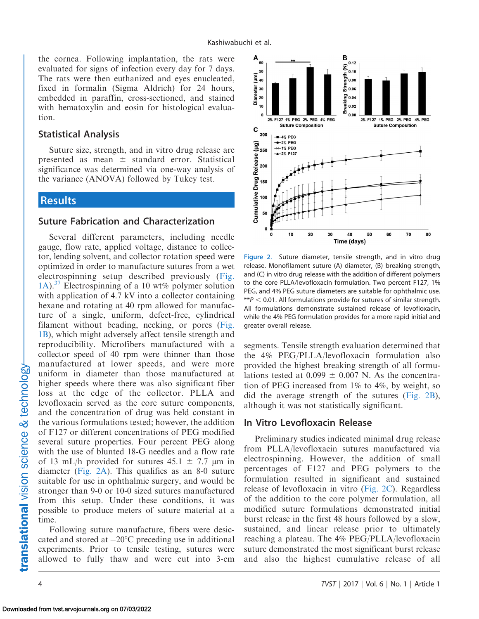the cornea. Following implantation, the rats were evaluated for signs of infection every day for 7 days. The rats were then euthanized and eyes enucleated, fixed in formalin (Sigma Aldrich) for 24 hours, embedded in paraffin, cross-sectioned, and stained with hematoxylin and eosin for histological evaluation.

#### Statistical Analysis

Suture size, strength, and in vitro drug release are presented as mean  $\pm$  standard error. Statistical significance was determined via one-way analysis of the variance (ANOVA) followed by Tukey test.

## Results

## Suture Fabrication and Characterization

Several different parameters, including needle gauge, flow rate, applied voltage, distance to collector, lending solvent, and collector rotation speed were optimized in order to manufacture sutures from a wet electrospinning setup described previously ([Fig.](#page-2-0) [1A\)](#page-2-0).<sup>37</sup> Electrospinning of a 10 wt% polymer solution with application of 4.7 kV into a collector containing hexane and rotating at 40 rpm allowed for manufacture of a single, uniform, defect-free, cylindrical filament without beading, necking, or pores [\(Fig.](#page-2-0) [1B\)](#page-2-0), which might adversely affect tensile strength and reproducibility. Microfibers manufactured with a collector speed of 40 rpm were thinner than those manufactured at lower speeds, and were more uniform in diameter than those manufactured at higher speeds where there was also significant fiber loss at the edge of the collector. PLLA and levofloxacin served as the core suture components, and the concentration of drug was held constant in the various formulations tested; however, the addition of F127 or different concentrations of PEG modified several suture properties. Four percent PEG along with the use of blunted 18-G needles and a flow rate of 13 mL/h provided for sutures  $45.1 \pm 7.7$  µm in diameter (Fig. 2A). This qualifies as an 8-0 suture suitable for use in ophthalmic surgery, and would be stronger than 9-0 or 10-0 sized sutures manufactured from this setup. Under these conditions, it was possible to produce meters of suture material at a time.

Following suture manufacture, fibers were desiccated and stored at  $-20^{\circ}$ C preceding use in additional experiments. Prior to tensile testing, sutures were allowed to fully thaw and were cut into 3-cm



Figure 2. Suture diameter, tensile strength, and in vitro drug release. Monofilament suture (A) diameter, (B) breaking strength, and (C) in vitro drug release with the addition of different polymers to the core PLLA/levofloxacin formulation. Two percent F127, 1% PEG, and 4% PEG suture diameters are suitable for ophthalmic use. \*\* $P < 0.01$ . All formulations provide for sutures of similar strength. All formulations demonstrate sustained release of levofloxacin, while the 4% PEG formulation provides for a more rapid initial and greater overall release.

segments. Tensile strength evaluation determined that the 4% PEG/PLLA/levofloxacin formulation also provided the highest breaking strength of all formulations tested at  $0.099 \pm 0.007$  N. As the concentration of PEG increased from 1% to 4%, by weight, so did the average strength of the sutures (Fig. 2B), although it was not statistically significant.

#### In Vitro Levofloxacin Release

Preliminary studies indicated minimal drug release from PLLA/levofloxacin sutures manufactured via electrospinning. However, the addition of small percentages of F127 and PEG polymers to the formulation resulted in significant and sustained release of levofloxacin in vitro (Fig. 2C). Regardless of the addition to the core polymer formulation, all modified suture formulations demonstrated initial burst release in the first 48 hours followed by a slow, sustained, and linear release prior to ultimately reaching a plateau. The 4% PEG/PLLA/levofloxacin suture demonstrated the most significant burst release and also the highest cumulative release of all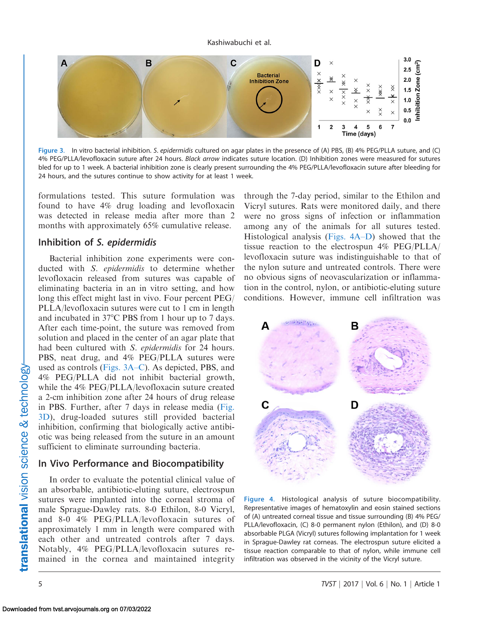

Figure 3. In vitro bacterial inhibition. S. epidermidis cultured on agar plates in the presence of (A) PBS, (B) 4% PEG/PLLA suture, and (C) 4% PEG/PLLA/levofloxacin suture after 24 hours. Black arrow indicates suture location. (D) Inhibition zones were measured for sutures bled for up to 1 week. A bacterial inhibition zone is clearly present surrounding the 4% PEG/PLLA/levofloxacin suture after bleeding for 24 hours, and the sutures continue to show activity for at least 1 week.

formulations tested. This suture formulation was found to have 4% drug loading and levofloxacin was detected in release media after more than 2 months with approximately 65% cumulative release.

### Inhibition of S. epidermidis

Bacterial inhibition zone experiments were conducted with S. epidermidis to determine whether levofloxacin released from sutures was capable of eliminating bacteria in an in vitro setting, and how long this effect might last in vivo. Four percent PEG/ PLLA/levofloxacin sutures were cut to 1 cm in length and incubated in  $37^{\circ}$ C PBS from 1 hour up to 7 days. After each time-point, the suture was removed from solution and placed in the center of an agar plate that had been cultured with S. epidermidis for 24 hours. PBS, neat drug, and 4% PEG/PLLA sutures were used as controls (Figs. 3A–C). As depicted, PBS, and 4% PEG/PLLA did not inhibit bacterial growth, while the 4% PEG/PLLA/levofloxacin suture created a 2-cm inhibition zone after 24 hours of drug release in PBS. Further, after 7 days in release media (Fig. 3D), drug-loaded sutures still provided bacterial inhibition, confirming that biologically active antibiotic was being released from the suture in an amount sufficient to eliminate surrounding bacteria.

## In Vivo Performance and Biocompatibility

In order to evaluate the potential clinical value of an absorbable, antibiotic-eluting suture, electrospun sutures were implanted into the corneal stroma of male Sprague-Dawley rats. 8-0 Ethilon, 8-0 Vicryl, and 8-0 4% PEG/PLLA/levofloxacin sutures of approximately 1 mm in length were compared with each other and untreated controls after 7 days. Notably, 4% PEG/PLLA/levofloxacin sutures remained in the cornea and maintained integrity

through the 7-day period, similar to the Ethilon and Vicryl sutures. Rats were monitored daily, and there were no gross signs of infection or inflammation among any of the animals for all sutures tested. Histological analysis (Figs. 4A–D) showed that the tissue reaction to the electrospun 4% PEG/PLLA/ levofloxacin suture was indistinguishable to that of the nylon suture and untreated controls. There were no obvious signs of neovascularization or inflammation in the control, nylon, or antibiotic-eluting suture conditions. However, immune cell infiltration was



Figure 4. Histological analysis of suture biocompatibility. Representative images of hematoxylin and eosin stained sections of (A) untreated corneal tissue and tissue surrounding (B) 4% PEG/ PLLA/levofloxacin, (C) 8-0 permanent nylon (Ethilon), and (D) 8-0 absorbable PLGA (Vicryl) sutures following implantation for 1 week in Sprague-Dawley rat corneas. The electrospun suture elicited a tissue reaction comparable to that of nylon, while immune cell infiltration was observed in the vicinity of the Vicryl suture.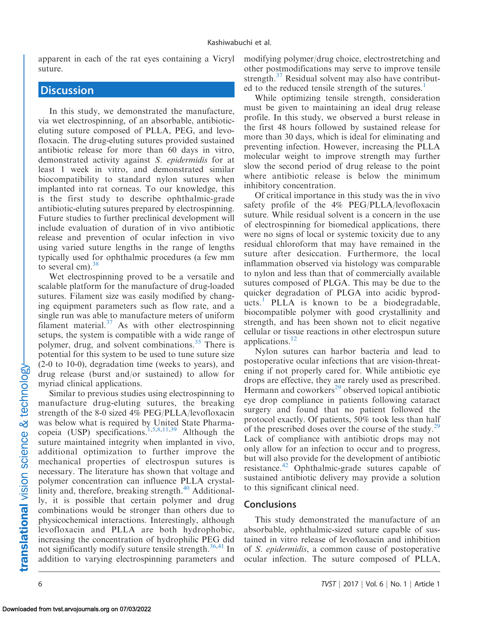apparent in each of the rat eyes containing a Vicryl suture.

# **Discussion**

In this study, we demonstrated the manufacture, via wet electrospinning, of an absorbable, antibioticeluting suture composed of PLLA, PEG, and levofloxacin. The drug-eluting sutures provided sustained antibiotic release for more than 60 days in vitro, demonstrated activity against S. epidermidis for at least 1 week in vitro, and demonstrated similar biocompatibility to standard nylon sutures when implanted into rat corneas. To our knowledge, this is the first study to describe ophthalmic-grade antibiotic-eluting sutures prepared by electrospinning. Future studies to further preclinical development will include evaluation of duration of in vivo antibiotic release and prevention of ocular infection in vivo using varied suture lengths in the range of lengths typically used for ophthalmic procedures (a few mm to several cm).  $38$ 

Wet electrospinning proved to be a versatile and scalable platform for the manufacture of drug-loaded sutures. Filament size was easily modified by changing equipment parameters such as flow rate, and a single run was able to manufacture meters of uniform filament material. $37$  As with other electrospinning setups, the system is compatible with a wide range of polymer, drug, and solvent combinations.<sup>[35](#page-7-0)</sup> There is potential for this system to be used to tune suture size (2-0 to 10-0), degradation time (weeks to years), and drug release (burst and/or sustained) to allow for myriad clinical applications.

Similar to previous studies using electrospinning to manufacture drug-eluting sutures, the breaking strength of the 8-0 sized 4% PEG/PLLA/levofloxacin was below what is required by United State Pharma-copeia (USP) specifications.<sup>[1](#page-6-0),[5,8,11,](#page-6-0)[39](#page-7-0)</sup> Although the suture maintained integrity when implanted in vivo, additional optimization to further improve the mechanical properties of electrospun sutures is necessary. The literature has shown that voltage and polymer concentration can influence PLLA crystallinity and, therefore, breaking strength.<sup>40</sup> Additionally, it is possible that certain polymer and drug combinations would be stronger than others due to physicochemical interactions. Interestingly, although levofloxacin and PLLA are both hydrophobic, increasing the concentration of hydrophilic PEG did not significantly modify suture tensile strength. $36,41$  $36,41$  In addition to varying electrospinning parameters and

modifying polymer/drug choice, electrostretching and other postmodifications may serve to improve tensile strength.<sup>[37](#page-7-0)</sup> Residual solvent may also have contribut-ed to the reduced tensile strength of the sutures.<sup>[1](#page-6-0)</sup>

While optimizing tensile strength, consideration must be given to maintaining an ideal drug release profile. In this study, we observed a burst release in the first 48 hours followed by sustained release for more than 30 days, which is ideal for eliminating and preventing infection. However, increasing the PLLA molecular weight to improve strength may further slow the second period of drug release to the point where antibiotic release is below the minimum inhibitory concentration.

Of critical importance in this study was the in vivo safety profile of the 4% PEG/PLLA/levofloxacin suture. While residual solvent is a concern in the use of electrospinning for biomedical applications, there were no signs of local or systemic toxicity due to any residual chloroform that may have remained in the suture after desiccation. Furthermore, the local inflammation observed via histology was comparable to nylon and less than that of commercially available sutures composed of PLGA. This may be due to the quicker degradation of PLGA into acidic byprod-ucts.<sup>[1](#page-6-0)</sup> PLLA is known to be a biodegradable, biocompatible polymer with good crystallinity and strength, and has been shown not to elicit negative cellular or tissue reactions in other electrospun suture applications.<sup>[12](#page-6-0)</sup>

Nylon sutures can harbor bacteria and lead to postoperative ocular infections that are vision-threatening if not properly cared for. While antibiotic eye drops are effective, they are rarely used as prescribed. Hermann and coworkers $^{29}$  observed topical antibiotic eye drop compliance in patients following cataract surgery and found that no patient followed the protocol exactly. Of patients, 50% took less than half of the prescribed doses over the course of the study.<sup>[29](#page-7-0)</sup> Lack of compliance with antibiotic drops may not only allow for an infection to occur and to progress, but will also provide for the development of antibiotic resistance.<sup>[42](#page-7-0)</sup> Ophthalmic-grade sutures capable of sustained antibiotic delivery may provide a solution to this significant clinical need.

#### **Conclusions**

This study demonstrated the manufacture of an absorbable, ophthalmic-sized suture capable of sustained in vitro release of levofloxacin and inhibition of S. epidermidis, a common cause of postoperative ocular infection. The suture composed of PLLA,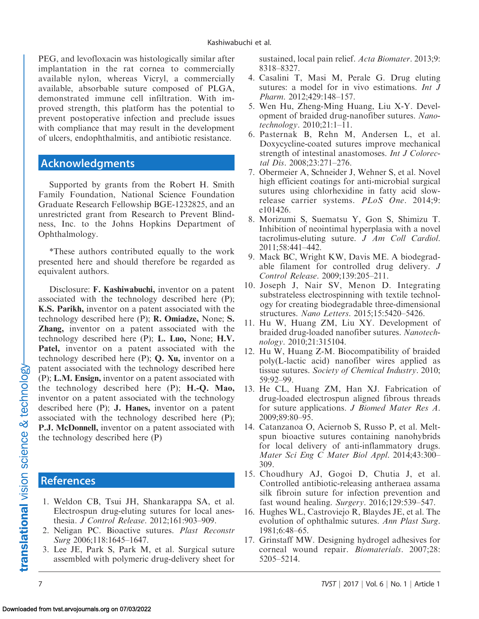<span id="page-6-0"></span>PEG, and levofloxacin was histologically similar after implantation in the rat cornea to commercially available nylon, whereas Vicryl, a commercially available, absorbable suture composed of PLGA, demonstrated immune cell infiltration. With improved strength, this platform has the potential to prevent postoperative infection and preclude issues with compliance that may result in the development of ulcers, endophthalmitis, and antibiotic resistance.

# Acknowledgments

Supported by grants from the Robert H. Smith Family Foundation, National Science Foundation Graduate Research Fellowship BGE-1232825, and an unrestricted grant from Research to Prevent Blindness, Inc. to the Johns Hopkins Department of Ophthalmology.

\*These authors contributed equally to the work presented here and should therefore be regarded as equivalent authors.

Disclosure: F. Kashiwabuchi, inventor on a patent associated with the technology described here (P); K.S. Parikh, inventor on a patent associated with the technology described here (P); R. Omiadze, None; S. Zhang, inventor on a patent associated with the technology described here (P); L. Luo, None; H.V. Patel, inventor on a patent associated with the technology described here (P); Q. Xu, inventor on a patent associated with the technology described here (P); L.M. Ensign, inventor on a patent associated with the technology described here (P); H.-Q. Mao, inventor on a patent associated with the technology described here (P); J. Hanes, inventor on a patent associated with the technology described here (P); P.J. McDonnell, inventor on a patent associated with the technology described here (P)

## References

- 1. Weldon CB, Tsui JH, Shankarappa SA, et al. Electrospun drug-eluting sutures for local anesthesia. J Control Release. 2012;161:903–909.
- 2. Neligan PC. Bioactive sutures. Plast Reconstr Surg 2006;118:1645–1647.
- 3. Lee JE, Park S, Park M, et al. Surgical suture assembled with polymeric drug-delivery sheet for

sustained, local pain relief. Acta Biomater. 2013;9: 8318–8327.

- 4. Casalini T, Masi M, Perale G. Drug eluting sutures: a model for in vivo estimations. *Int J* Pharm. 2012;429:148–157.
- 5. Wen Hu, Zheng-Ming Huang, Liu X-Y. Development of braided drug-nanofiber sutures. Nanotechnology. 2010;21:1–11.
- 6. Pasternak B, Rehn M, Andersen L, et al. Doxycycline-coated sutures improve mechanical strength of intestinal anastomoses. Int J Colorectal Dis. 2008;23:271–276.
- 7. Obermeier A, Schneider J, Wehner S, et al. Novel high efficient coatings for anti-microbial surgical sutures using chlorhexidine in fatty acid slowrelease carrier systems. PLoS One. 2014;9: e101426.
- 8. Morizumi S, Suematsu Y, Gon S, Shimizu T. Inhibition of neointimal hyperplasia with a novel tacrolimus-eluting suture. J Am Coll Cardiol. 2011;58:441–442.
- 9. Mack BC, Wright KW, Davis ME. A biodegradable filament for controlled drug delivery. J Control Release. 2009;139:205–211.
- 10. Joseph J, Nair SV, Menon D. Integrating substrateless electrospinning with textile technology for creating biodegradable three-dimensional structures. Nano Letters. 2015;15:5420–5426.
- 11. Hu W, Huang ZM, Liu XY. Development of braided drug-loaded nanofiber sutures. Nanotechnology. 2010;21:315104.
- 12. Hu W, Huang Z-M. Biocompatibility of braided poly(L-lactic acid) nanofiber wires applied as tissue sutures. Society of Chemical Industry. 2010; 59:92–99.
- 13. He CL, Huang ZM, Han XJ. Fabrication of drug-loaded electrospun aligned fibrous threads for suture applications. J Biomed Mater Res A. 2009;89:80–95.
- 14. Catanzanoa O, Aciernob S, Russo P, et al. Meltspun bioactive sutures containing nanohybrids for local delivery of anti-inflammatory drugs. Mater Sci Eng C Mater Biol Appl. 2014;43:300– 309.
- 15. Choudhury AJ, Gogoi D, Chutia J, et al. Controlled antibiotic-releasing antheraea assama silk fibroin suture for infection prevention and fast wound healing. Surgery. 2016;129:539–547.
- 16. Hughes WL, Castroviejo R, Blaydes JE, et al. The evolution of ophthalmic sutures. Ann Plast Surg. 1981;6:48–65.
- 17. Grinstaff MW. Designing hydrogel adhesives for corneal wound repair. Biomaterials. 2007;28: 5205–5214.